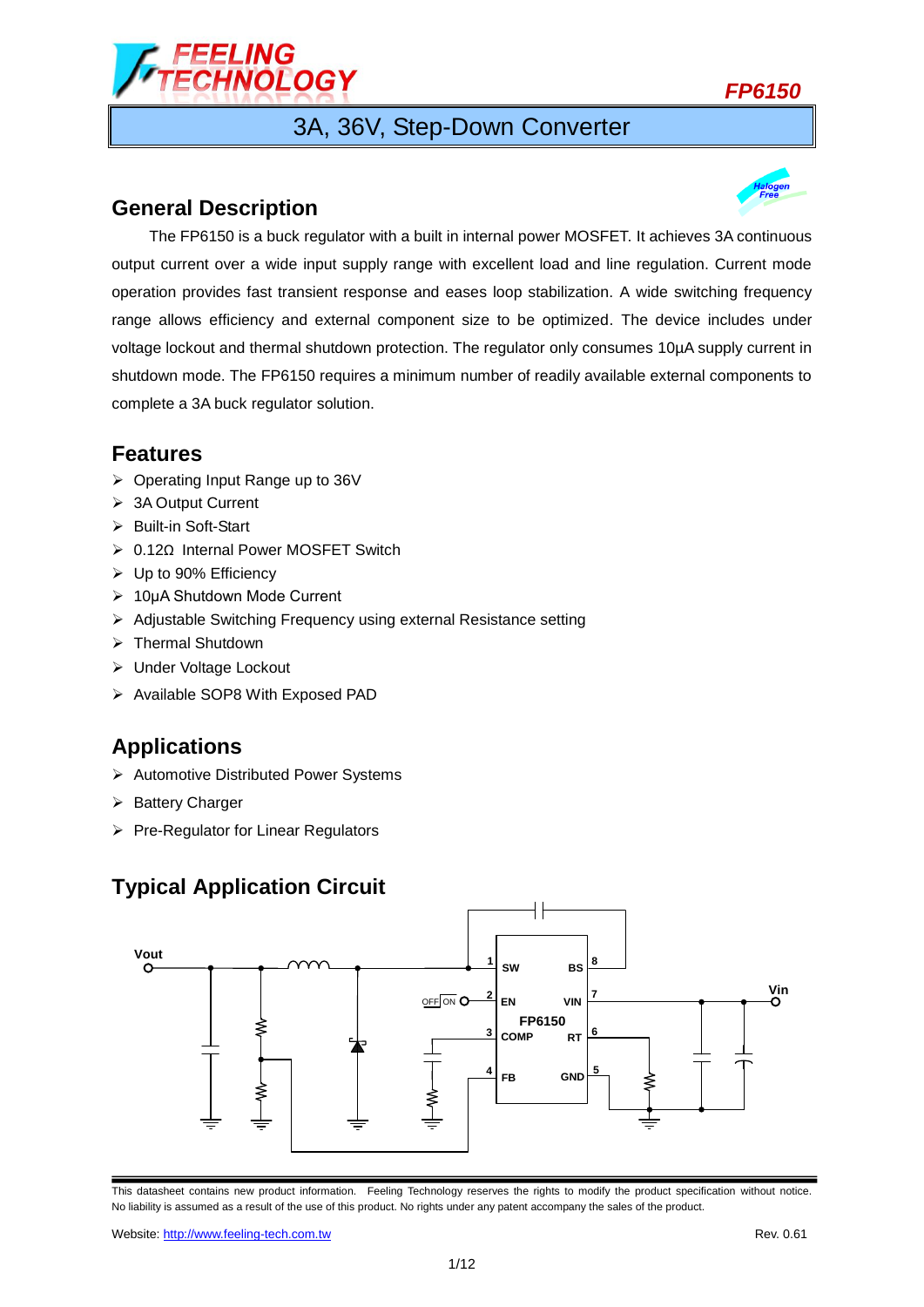

# 3A, 36V, Step-Down Converter

### **General Description**



### **Features**

- $\triangleright$  Operating Input Range up to 36V
- > 3A Output Current
- ▶ Built-in Soft-Start
- 0.12Ω Internal Power MOSFET Switch
- Up to 90% Efficiency
- 10μA Shutdown Mode Current
- Adjustable Switching Frequency using external Resistance setting
- > Thermal Shutdown
- Under Voltage Lockout
- $\triangleright$  Available SOP8 With Exposed PAD

### **Applications**

- Automotive Distributed Power Systems
- $\triangleright$  Battery Charger
- $\triangleright$  Pre-Regulator for Linear Regulators

## **Typical Application Circuit**



This datasheet contains new product information. Feeling Technology reserves the rights to modify the product specification without notice. No liability is assumed as a result of the use of this product. No rights under any patent accompany the sales of the product.

Website: http://www.feeling-tech.com.tw **Rev. 0.61** News 0.61

*FP6150*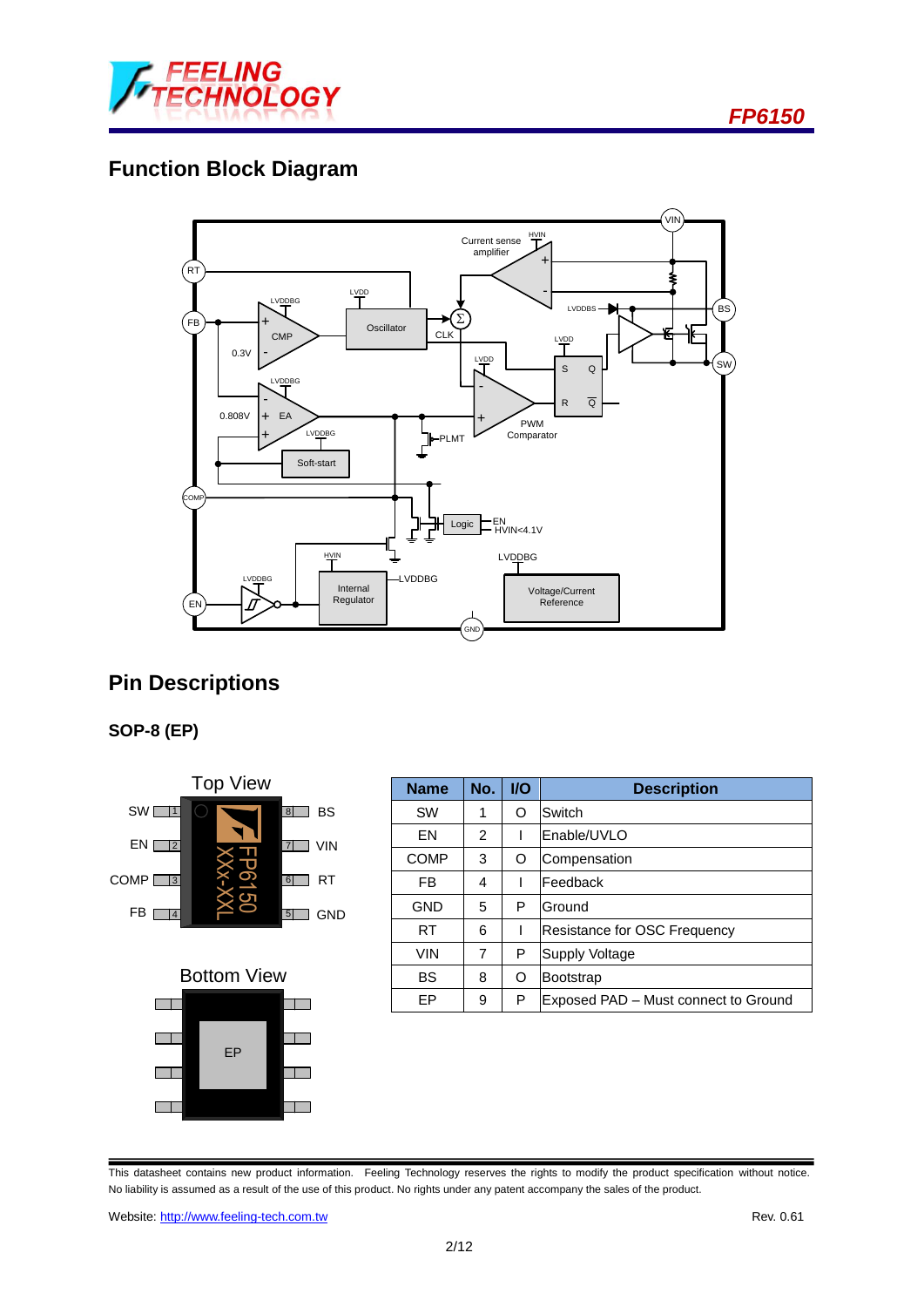

# **Function Block Diagram**



## **Pin Descriptions**

### **SOP-8 (EP)**





| <b>Name</b> | No. | $UO$ | <b>Description</b>                   |
|-------------|-----|------|--------------------------------------|
| <b>SW</b>   | 1   | Ω    | Switch                               |
| EN          | 2   |      | Enable/UVLO                          |
| <b>COMP</b> | 3   | O    | Compensation                         |
| FB          | 4   |      | Feedback                             |
| <b>GND</b>  | 5   | P    | Ground                               |
| <b>RT</b>   | 6   |      | Resistance for OSC Frequency         |
| <b>VIN</b>  | 7   | P    | <b>Supply Voltage</b>                |
| BS          | 8   | Ω    | Bootstrap                            |
| ЕP          | 9   | P    | Exposed PAD - Must connect to Ground |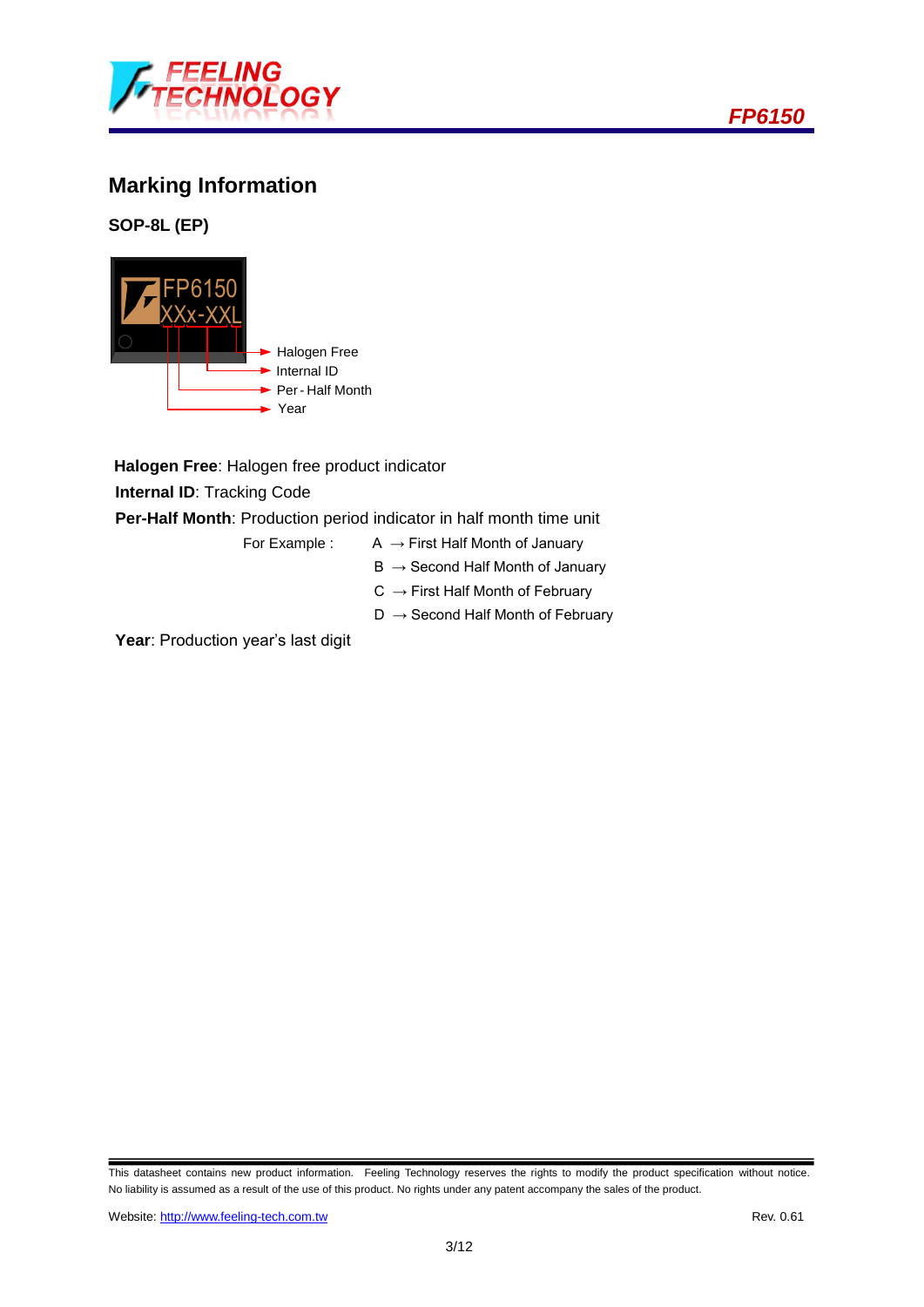

## **Marking Information**

**SOP-8L (EP)**



**Halogen Free**: Halogen free product indicator **Internal ID**: Tracking Code **Per-Half Month**: Production period indicator in half month time unit

- For Example :  $A \rightarrow$  First Half Month of January
	- $B \rightarrow$  Second Half Month of January
	- $C \rightarrow$  First Half Month of February
	- $D \rightarrow$  Second Half Month of February

Year: Production year's last digit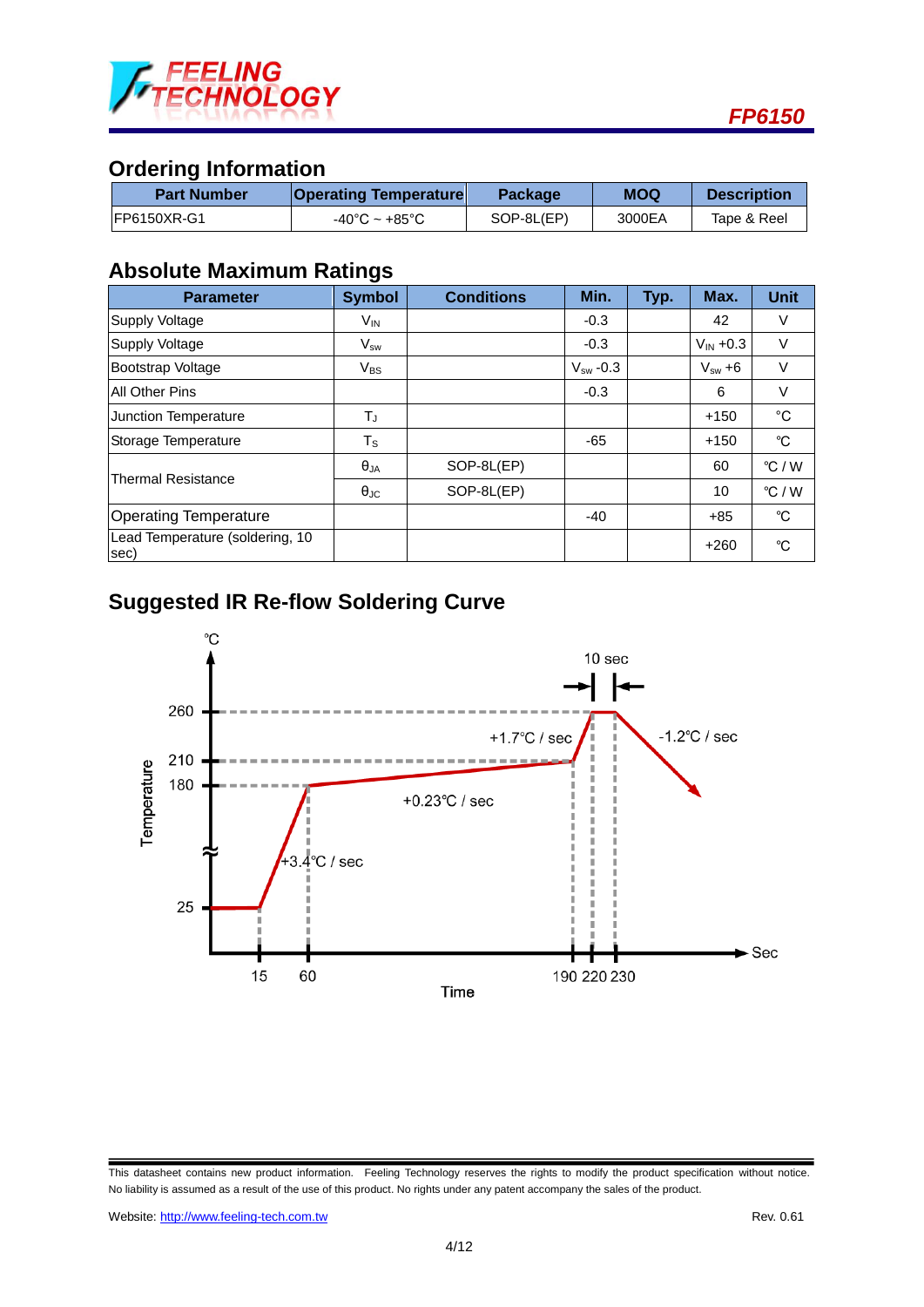

### **Ordering Information**

| <b>Part Number</b>  | <b>Operating Temperature</b>      | <b>Package</b> | <b>MOQ</b> | <b>Description</b> |
|---------------------|-----------------------------------|----------------|------------|--------------------|
| <b>IFP6150XR-G1</b> | $-40^{\circ}$ C ~ $+85^{\circ}$ C | SOP-8L(EP)     | 3000EA     | Tape & Reel        |

### **Absolute Maximum Ratings**

| <b>Parameter</b>                        | <b>Symbol</b>              | <b>Conditions</b> | Min.          | Typ. | Max.          | <b>Unit</b>  |
|-----------------------------------------|----------------------------|-------------------|---------------|------|---------------|--------------|
| Supply Voltage                          | V <sub>IN</sub>            |                   | $-0.3$        |      | 42            | V            |
| Supply Voltage                          | $\mathsf{V}_{\mathsf{sw}}$ |                   | $-0.3$        |      | $V_{IN} +0.3$ | V            |
| Bootstrap Voltage                       | $V_{BS}$                   |                   | $V_{sw}$ -0.3 |      | $V_{sw} + 6$  | V            |
| <b>All Other Pins</b>                   |                            |                   | $-0.3$        |      | 6             | V            |
| Junction Temperature                    | Tյ                         |                   |               |      | $+150$        | $^{\circ}$ C |
| Storage Temperature                     | $T_{\tt S}$                |                   | -65           |      | $+150$        | °C           |
| <b>Thermal Resistance</b>               | $\theta_{JA}$              | SOP-8L(EP)        |               |      | 60            | °C/W         |
|                                         | $\theta_{\rm JC}$          | SOP-8L(EP)        |               |      | 10            | °C/W         |
| <b>Operating Temperature</b>            |                            |                   | $-40$         |      | +85           | °C           |
| Lead Temperature (soldering, 10<br>sec) |                            |                   |               |      | $+260$        | °C           |

## **Suggested IR Re-flow Soldering Curve**



This datasheet contains new product information. Feeling Technology reserves the rights to modify the product specification without notice. No liability is assumed as a result of the use of this product. No rights under any patent accompany the sales of the product.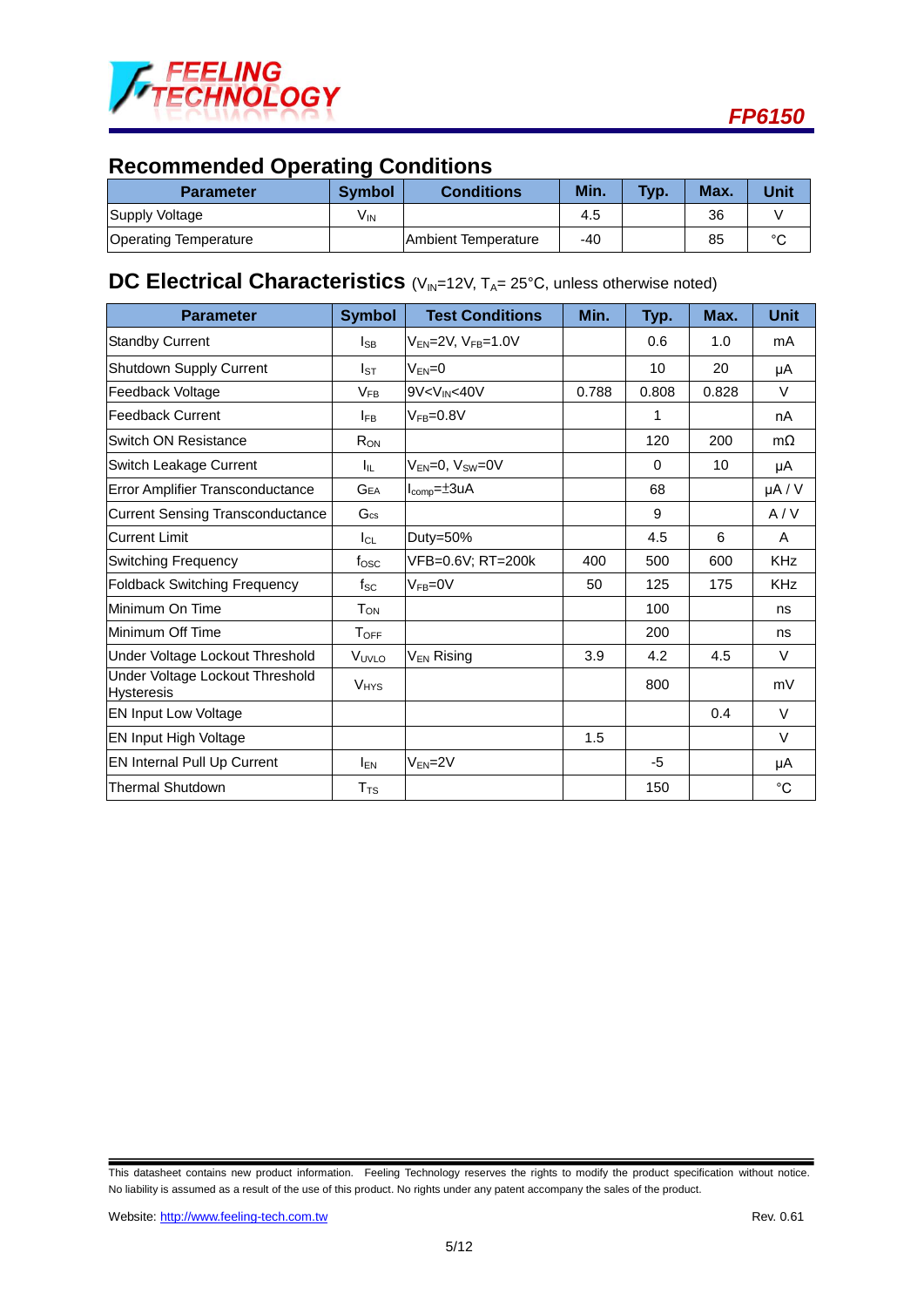

## **Recommended Operating Conditions**

| <b>Parameter</b>             | <b>Symbol</b>   | <b>Conditions</b>           | Min. | Typ. | Max. | Unit   |
|------------------------------|-----------------|-----------------------------|------|------|------|--------|
| Supply Voltage               | V <sub>IN</sub> |                             | 4.5  |      | 36   |        |
| <b>Operating Temperature</b> |                 | <b>IAmbient Temperature</b> | -40  |      | 85   | $\sim$ |

### **DC** Electrical Characteristics (V<sub>IN</sub>=12V, T<sub>A</sub>= 25°C, unless otherwise noted)

| <b>Parameter</b>                                     | <b>Symbol</b>          | <b>Test Conditions</b>                                                                             | Min.  | Typ.     | Max.  | <b>Unit</b> |
|------------------------------------------------------|------------------------|----------------------------------------------------------------------------------------------------|-------|----------|-------|-------------|
| <b>Standby Current</b>                               | <sub>ISB</sub>         | $V_{EN}$ =2V, $V_{FB}$ =1.0V                                                                       |       | 0.6      | 1.0   | mA          |
| Shutdown Supply Current                              | Isт                    | $V_{FN}=0$                                                                                         |       | 10       | 20    | μA          |
| Feedback Voltage                                     | $V_{FB}$               | 9V <vin<40v< td=""><td>0.788</td><td>0.808</td><td>0.828</td><td><math>\vee</math></td></vin<40v<> | 0.788 | 0.808    | 0.828 | $\vee$      |
| <b>Feedback Current</b>                              | <b>IFB</b>             | $V_{FB}=0.8V$                                                                                      |       | 1        |       | nA          |
| Switch ON Resistance                                 | $R_{ON}$               |                                                                                                    |       | 120      | 200   | $m\Omega$   |
| Switch Leakage Current                               | Ιıμ.                   | $V_{FN}=0$ , $V_{SW}=0V$                                                                           |       | $\Omega$ | 10    | μA          |
| Error Amplifier Transconductance                     | <b>GEA</b>             | $I_{\text{comp}} = \pm 3uA$                                                                        |       | 68       |       | $\mu A / V$ |
| <b>Current Sensing Transconductance</b>              | $G_{\text{cs}}$        |                                                                                                    |       | 9        |       | A/V         |
| <b>Current Limit</b>                                 | $I_{CL}$               | Duty=50%                                                                                           |       | 4.5      | 6     | A           |
| Switching Frequency                                  | fosc                   | VFB=0.6V; RT=200k                                                                                  | 400   | 500      | 600   | <b>KHz</b>  |
| <b>Foldback Switching Frequency</b>                  | $f_{SC}$               | $V_{FB} = 0V$                                                                                      | 50    | 125      | 175   | <b>KHz</b>  |
| Minimum On Time                                      | $T_{ON}$               |                                                                                                    |       | 100      |       | ns          |
| Minimum Off Time                                     | $T_{\text{OFF}}$       |                                                                                                    |       | 200      |       | ns          |
| Under Voltage Lockout Threshold                      | VUVLO                  | V <sub>EN</sub> Rising                                                                             | 3.9   | 4.2      | 4.5   | V           |
| Under Voltage Lockout Threshold<br><b>Hysteresis</b> | <b>V<sub>HYS</sub></b> |                                                                                                    |       | 800      |       | mV          |
| <b>EN Input Low Voltage</b>                          |                        |                                                                                                    |       |          | 0.4   | V           |
| <b>EN Input High Voltage</b>                         |                        |                                                                                                    | 1.5   |          |       | V           |
| <b>EN Internal Pull Up Current</b>                   | $I_{EN}$               | $V_{EN} = 2V$                                                                                      |       | $-5$     |       | μA          |
| <b>Thermal Shutdown</b>                              | $T_{TS}$               |                                                                                                    |       | 150      |       | $^{\circ}C$ |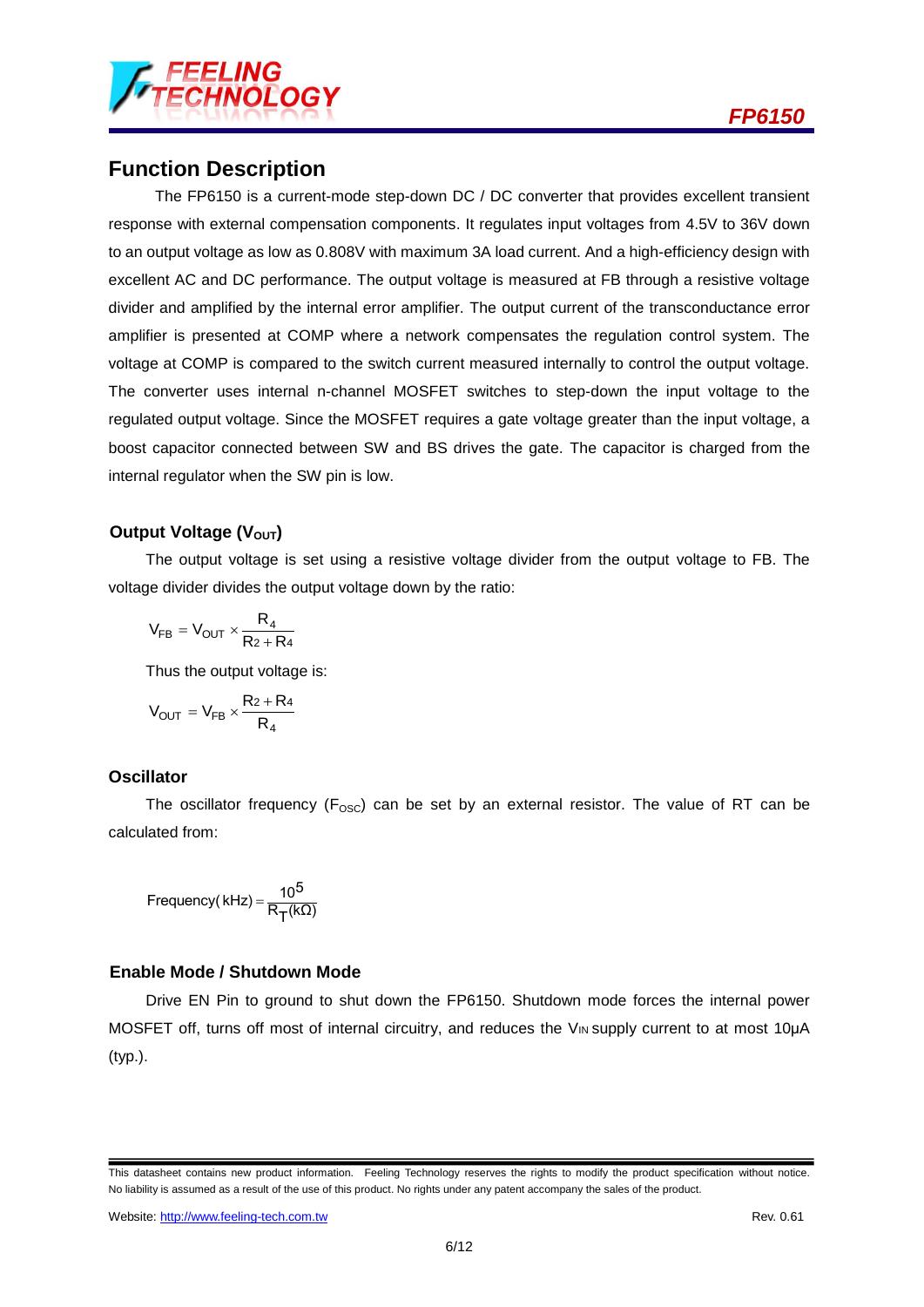

### **Function Description**

The FP6150 is a current-mode step-down DC / DC converter that provides excellent transient response with external compensation components. It regulates input voltages from 4.5V to 36V down to an output voltage as low as 0.808V with maximum 3A load current. And a high-efficiency design with excellent AC and DC performance. The output voltage is measured at FB through a resistive voltage divider and amplified by the internal error amplifier. The output current of the transconductance error amplifier is presented at COMP where a network compensates the regulation control system. The voltage at COMP is compared to the switch current measured internally to control the output voltage. The converter uses internal n-channel MOSFET switches to step-down the input voltage to the regulated output voltage. Since the MOSFET requires a gate voltage greater than the input voltage, a boost capacitor connected between SW and BS drives the gate. The capacitor is charged from the internal regulator when the SW pin is low.

### **Output Voltage (V<sub>OUT</sub>)**

The output voltage is set using a resistive voltage divider from the output voltage to FB. The voltage divider divides the output voltage down by the ratio:

$$
V_{FB}=V_{OUT}\times\frac{R_4}{R_2+R_4}
$$

Thus the output voltage is:

$$
V_{OUT}=V_{FB}\times\frac{R_2+R_4}{R_4}
$$

#### **Oscillator**

The oscillator frequency ( $F_{\text{OSC}}$ ) can be set by an external resistor. The value of RT can be calculated from:

$$
Frequency(kHz) = \frac{10^5}{R_T(k\Omega)}
$$

#### **Enable Mode / Shutdown Mode**

Drive EN Pin to ground to shut down the FP6150. Shutdown mode forces the internal power MOSFET off, turns off most of internal circuitry, and reduces the V<sub>IN</sub> supply current to at most 10µA (typ.).

This datasheet contains new product information. Feeling Technology reserves the rights to modify the product specification without notice. No liability is assumed as a result of the use of this product. No rights under any patent accompany the sales of the product.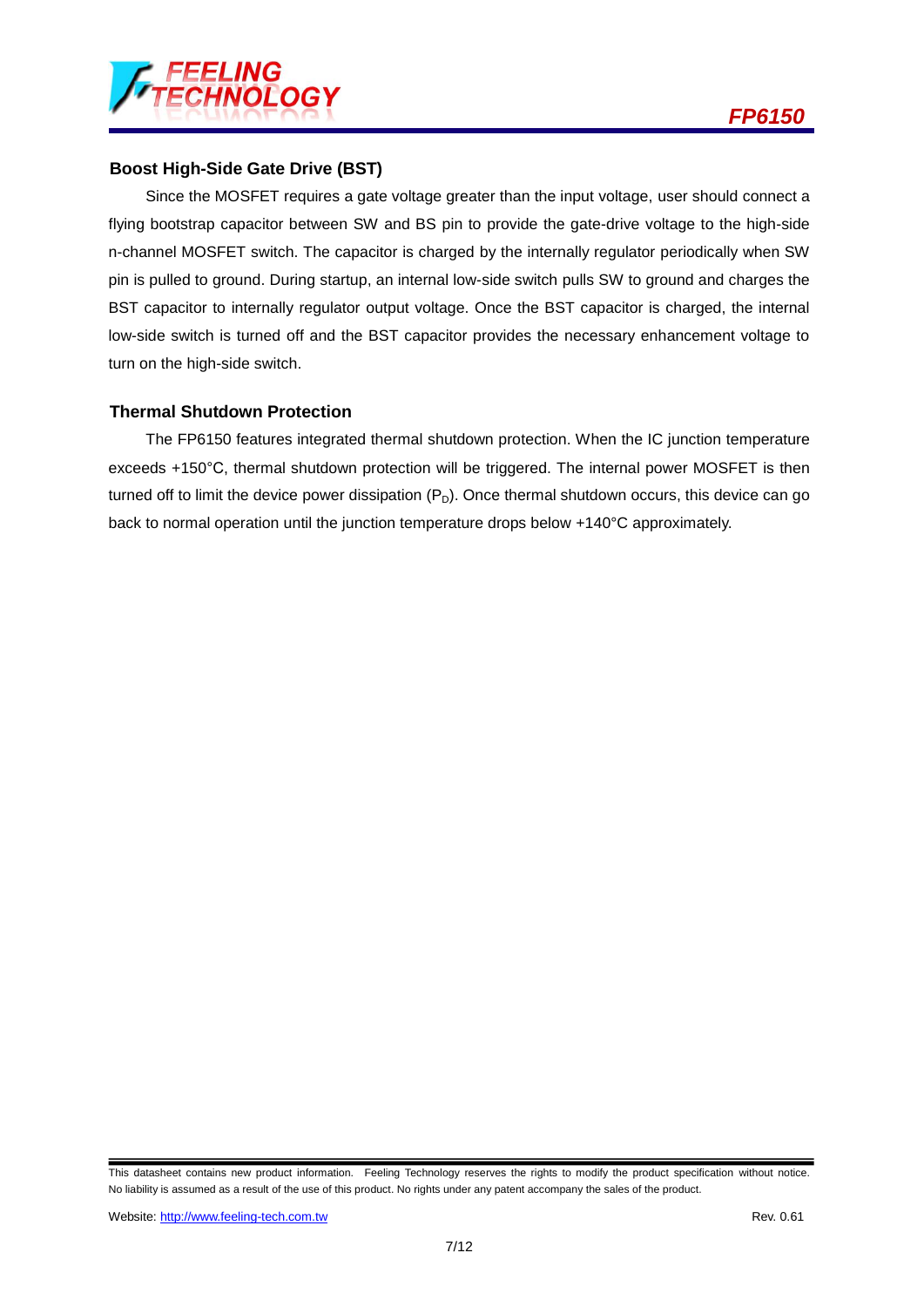

#### **Boost High-Side Gate Drive (BST)**

Since the MOSFET requires a gate voltage greater than the input voltage, user should connect a flying bootstrap capacitor between SW and BS pin to provide the gate-drive voltage to the high-side n-channel MOSFET switch. The capacitor is charged by the internally regulator periodically when SW pin is pulled to ground. During startup, an internal low-side switch pulls SW to ground and charges the BST capacitor to internally regulator output voltage. Once the BST capacitor is charged, the internal low-side switch is turned off and the BST capacitor provides the necessary enhancement voltage to turn on the high-side switch.

#### **Thermal Shutdown Protection**

The FP6150 features integrated thermal shutdown protection. When the IC junction temperature exceeds +150°C, thermal shutdown protection will be triggered. The internal power MOSFET is then turned off to limit the device power dissipation  $(P_D)$ . Once thermal shutdown occurs, this device can go back to normal operation until the junction temperature drops below +140°C approximately.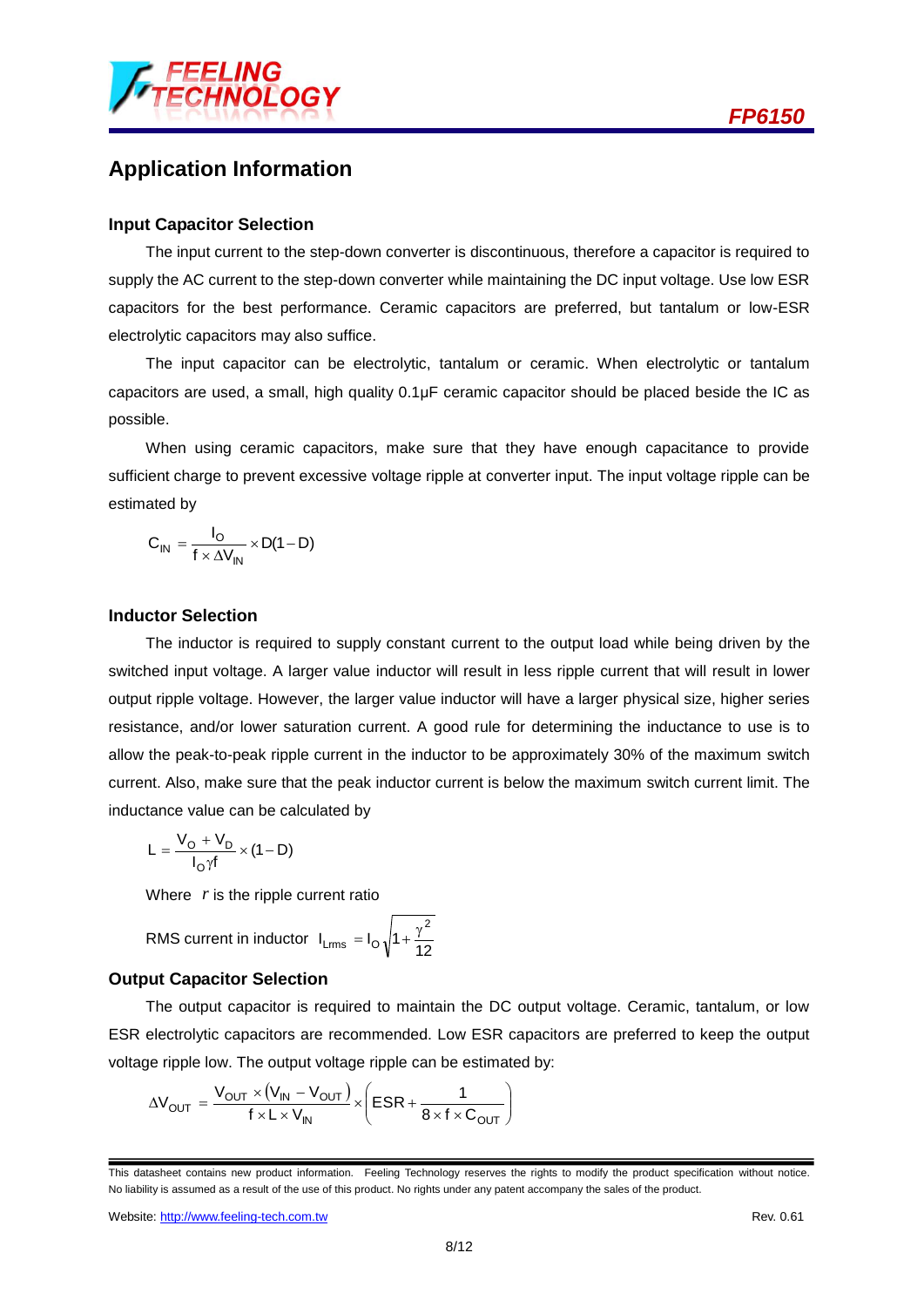

### **Application Information**

#### **Input Capacitor Selection**

The input current to the step-down converter is discontinuous, therefore a capacitor is required to supply the AC current to the step-down converter while maintaining the DC input voltage. Use low ESR capacitors for the best performance. Ceramic capacitors are preferred, but tantalum or low-ESR electrolytic capacitors may also suffice.

The input capacitor can be electrolytic, tantalum or ceramic. When electrolytic or tantalum capacitors are used, a small, high quality 0.1μF ceramic capacitor should be placed beside the IC as possible.

When using ceramic capacitors, make sure that they have enough capacitance to provide sufficient charge to prevent excessive voltage ripple at converter input. The input voltage ripple can be estimated by

$$
C_{IN} = \frac{I_O}{f \times \Delta V_{IN}} \times D(1-D)
$$

#### **Inductor Selection**

The inductor is required to supply constant current to the output load while being driven by the switched input voltage. A larger value inductor will result in less ripple current that will result in lower output ripple voltage. However, the larger value inductor will have a larger physical size, higher series resistance, and/or lower saturation current. A good rule for determining the inductance to use is to allow the peak-to-peak ripple current in the inductor to be approximately 30% of the maximum switch current. Also, make sure that the peak inductor current is below the maximum switch current limit. The inductance value can be calculated by

$$
L = \frac{V_O + V_D}{I_O \gamma f} \times (1 - D)
$$

Where *r* is the ripple current ratio

RMS current in inductor 
$$
I_{Lms} = I_0 \sqrt{1 + \frac{\gamma^2}{12}}
$$

#### **Output Capacitor Selection**

The output capacitor is required to maintain the DC output voltage. Ceramic, tantalum, or low ESR electrolytic capacitors are recommended. Low ESR capacitors are preferred to keep the output voltage ripple low. The output voltage ripple can be estimated by:

$$
\Delta V_{OUT} = \frac{V_{OUT} \times (V_{IN} - V_{OUT})}{f \times L \times V_{IN}} \times \left(ESR + \frac{1}{8 \times f \times C_{OUT}}\right)
$$

This datasheet contains new product information. Feeling Technology reserves the rights to modify the product specification without notice. No liability is assumed as a result of the use of this product. No rights under any patent accompany the sales of the product.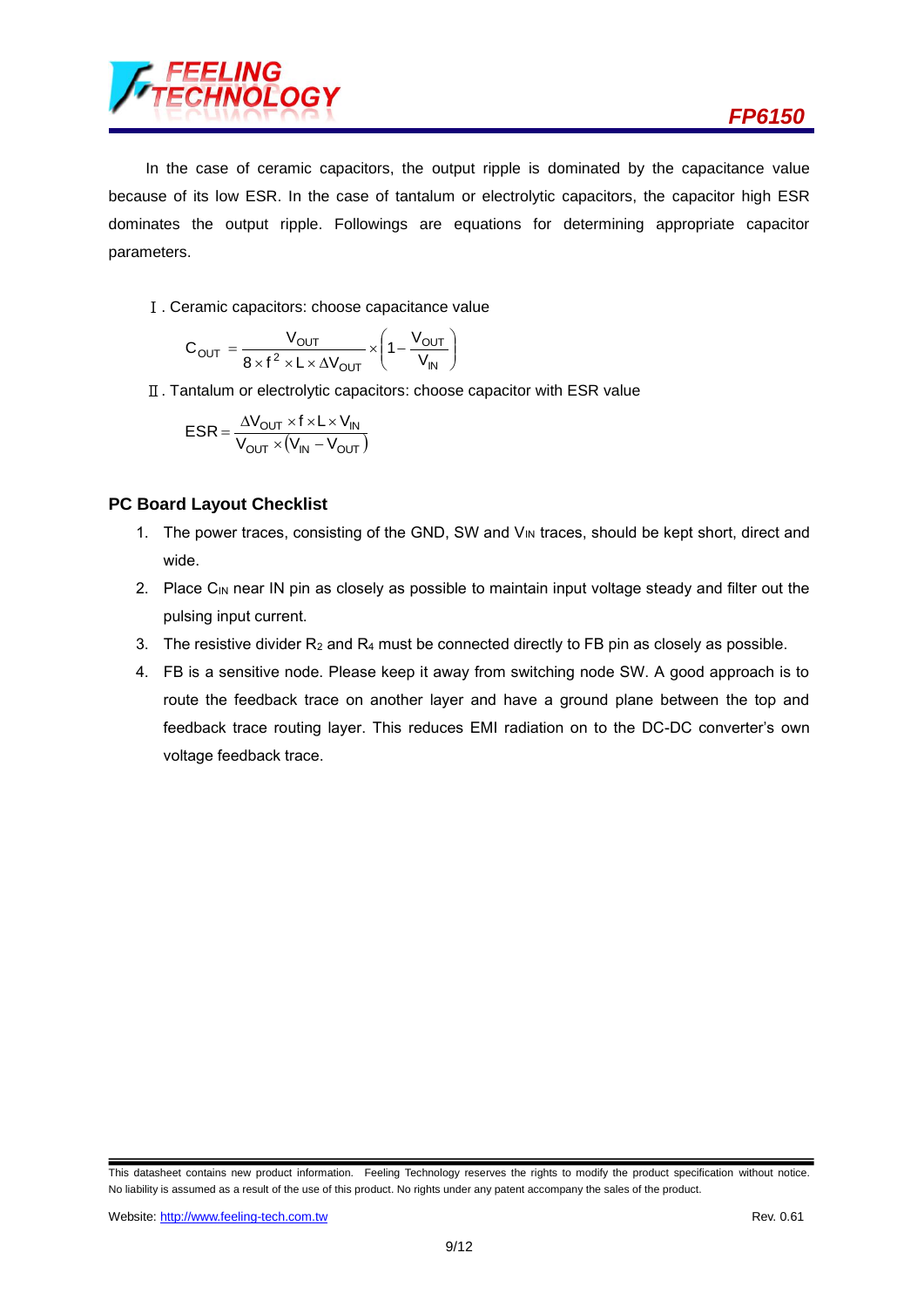

In the case of ceramic capacitors, the output ripple is dominated by the capacitance value because of its low ESR. In the case of tantalum or electrolytic capacitors, the capacitor high ESR dominates the output ripple. Followings are equations for determining appropriate capacitor parameters.

Ⅰ. Ceramic capacitors: choose capacitance value

$$
C_{OUT} = \frac{V_{OUT}}{8 \times f^2 \times L \times \Delta V_{OUT}} \times \left(1 - \frac{V_{OUT}}{V_{IN}}\right)
$$

Ⅱ. Tantalum or electrolytic capacitors: choose capacitor with ESR value

$$
ESR = \frac{\Delta V_{OUT} \times f \times L \times V_{IN}}{V_{OUT} \times (V_{IN} - V_{OUT})}
$$

#### **PC Board Layout Checklist**

- 1. The power traces, consisting of the GND, SW and V<sub>IN</sub> traces, should be kept short, direct and wide.
- 2. Place  $C_{\text{IN}}$  near IN pin as closely as possible to maintain input voltage steady and filter out the pulsing input current.
- 3. The resistive divider  $R_2$  and  $R_4$  must be connected directly to FB pin as closely as possible.
- 4. FB is a sensitive node. Please keep it away from switching node SW. A good approach is to route the feedback trace on another layer and have a ground plane between the top and feedback trace routing layer. This reduces EMI radiation on to the DC-DC converter's own voltage feedback trace.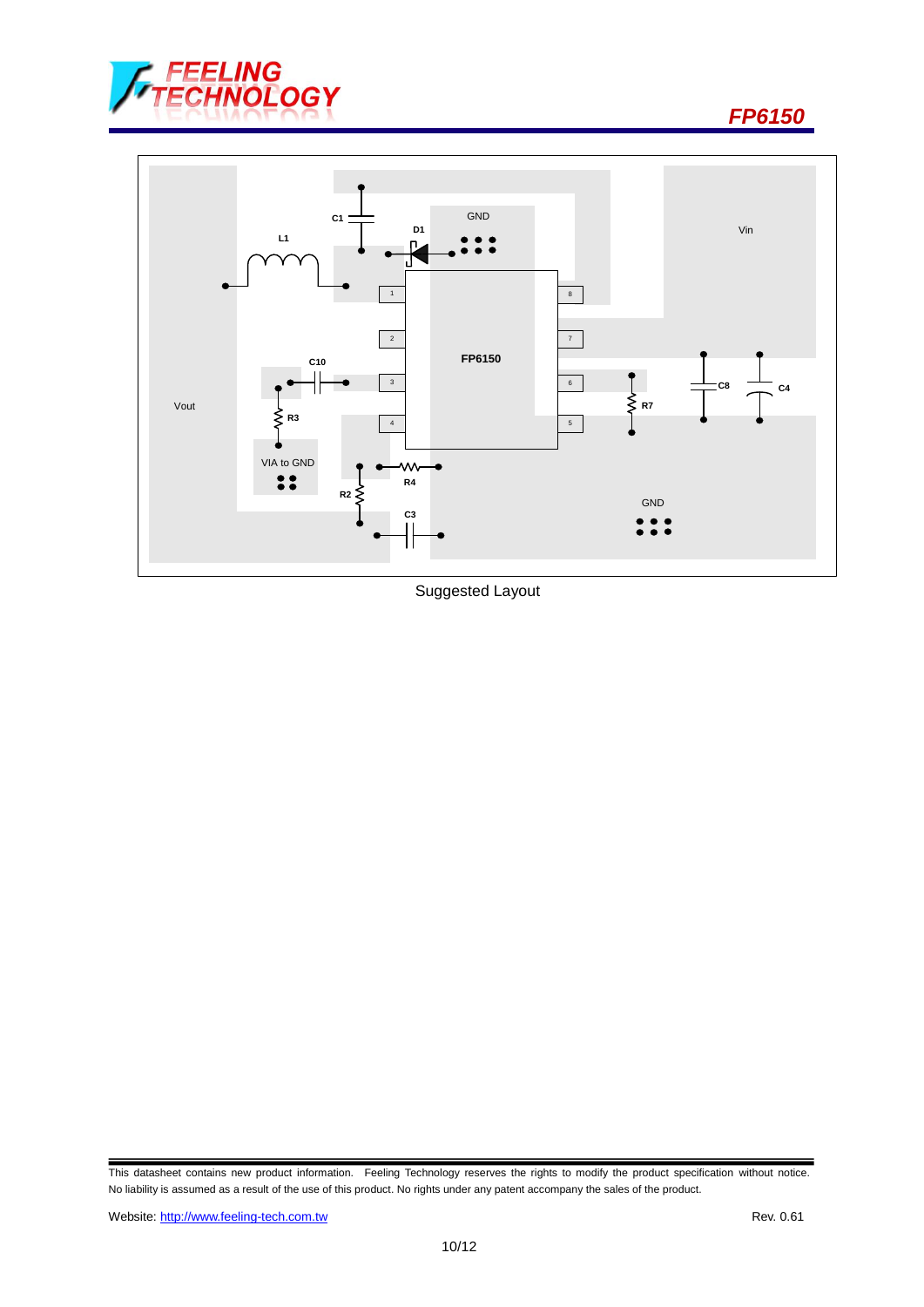



Suggested Layout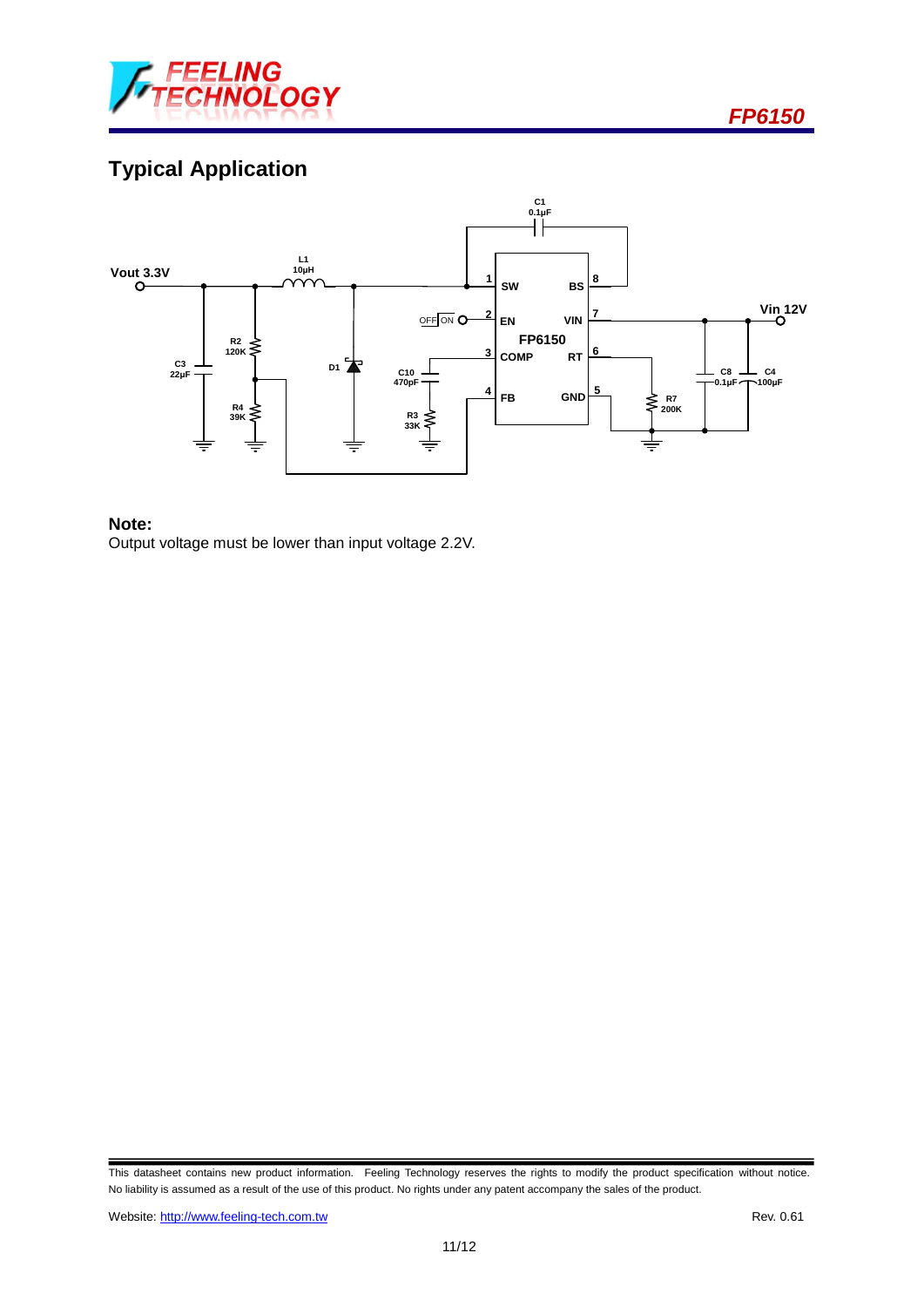

# **Typical Application**



#### **Note:**

Output voltage must be lower than input voltage 2.2V.